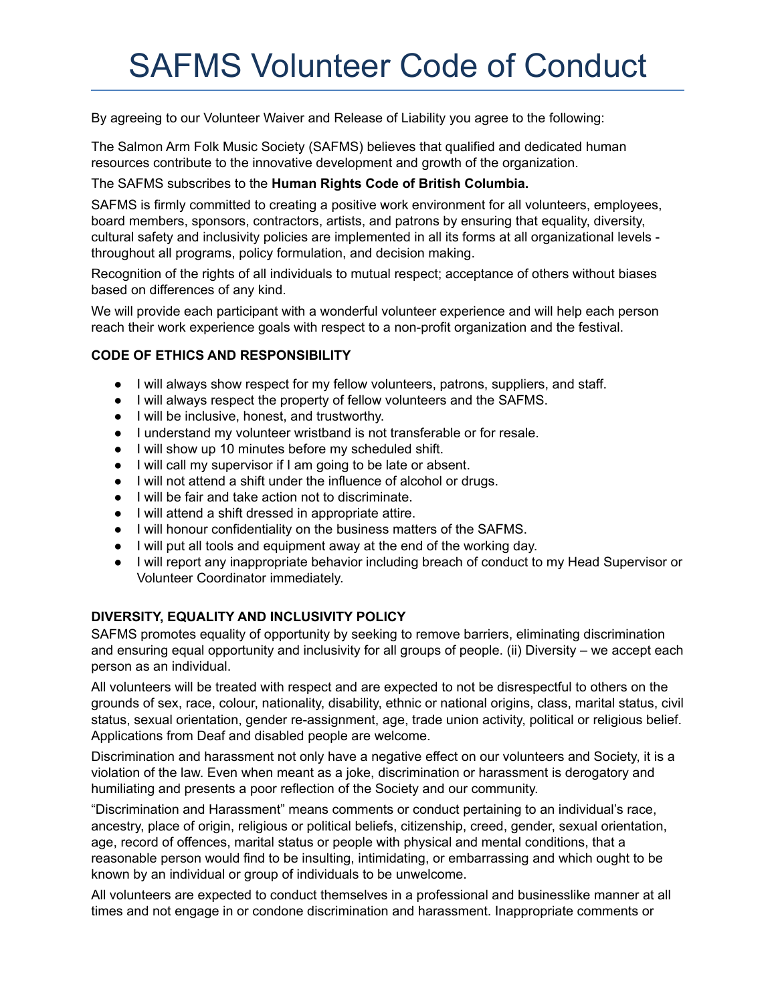# SAFMS Volunteer Code of Conduct

By agreeing to our Volunteer Waiver and Release of Liability you agree to the following:

The Salmon Arm Folk Music Society (SAFMS) believes that qualified and dedicated human resources contribute to the innovative development and growth of the organization.

## The SAFMS subscribes to the **Human Rights Code of British Columbia.**

SAFMS is firmly committed to creating a positive work environment for all volunteers, employees, board members, sponsors, contractors, artists, and patrons by ensuring that equality, diversity, cultural safety and inclusivity policies are implemented in all its forms at all organizational levels throughout all programs, policy formulation, and decision making.

Recognition of the rights of all individuals to mutual respect; acceptance of others without biases based on differences of any kind.

We will provide each participant with a wonderful volunteer experience and will help each person reach their work experience goals with respect to a non-profit organization and the festival.

# **CODE OF ETHICS AND RESPONSIBILITY**

- I will always show respect for my fellow volunteers, patrons, suppliers, and staff.
- I will always respect the property of fellow volunteers and the SAFMS.
- I will be inclusive, honest, and trustworthy.
- I understand my volunteer wristband is not transferable or for resale.
- I will show up 10 minutes before my scheduled shift.
- I will call my supervisor if I am going to be late or absent.
- I will not attend a shift under the influence of alcohol or drugs.
- I will be fair and take action not to discriminate.
- I will attend a shift dressed in appropriate attire.
- I will honour confidentiality on the business matters of the SAFMS.
- I will put all tools and equipment away at the end of the working day.
- I will report any inappropriate behavior including breach of conduct to my Head Supervisor or Volunteer Coordinator immediately.

# **DIVERSITY, EQUALITY AND INCLUSIVITY POLICY**

SAFMS promotes equality of opportunity by seeking to remove barriers, eliminating discrimination and ensuring equal opportunity and inclusivity for all groups of people. (ii) Diversity – we accept each person as an individual.

All volunteers will be treated with respect and are expected to not be disrespectful to others on the grounds of sex, race, colour, nationality, disability, ethnic or national origins, class, marital status, civil status, sexual orientation, gender re-assignment, age, trade union activity, political or religious belief. Applications from Deaf and disabled people are welcome.

Discrimination and harassment not only have a negative effect on our volunteers and Society, it is a violation of the law. Even when meant as a joke, discrimination or harassment is derogatory and humiliating and presents a poor reflection of the Society and our community.

"Discrimination and Harassment" means comments or conduct pertaining to an individual's race, ancestry, place of origin, religious or political beliefs, citizenship, creed, gender, sexual orientation, age, record of offences, marital status or people with physical and mental conditions, that a reasonable person would find to be insulting, intimidating, or embarrassing and which ought to be known by an individual or group of individuals to be unwelcome.

All volunteers are expected to conduct themselves in a professional and businesslike manner at all times and not engage in or condone discrimination and harassment. Inappropriate comments or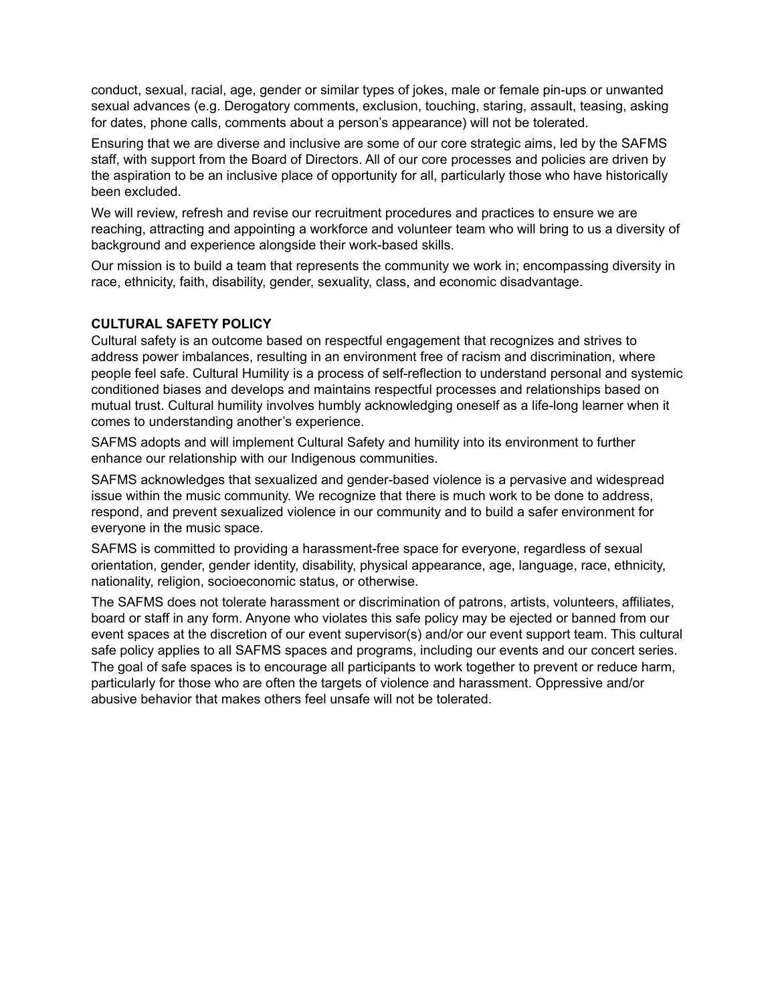conduct, sexual, racial, age, gender or similar types of jokes, male or female pin-ups or unwanted sexual advances (e.g. Derogatory comments, exclusion, touching, staring, assault, teasing, asking for dates, phone calls, comments about a person's appearance) will not be tolerated.

Ensuring that we are diverse and inclusive are some of our core strategic aims, led by the SAFMS staff, with support from the Board of Directors. All of our core processes and policies are driven by the aspiration to be an inclusive place of opportunity for all, particularly those who have historically been excluded.

We will review, refresh and revise our recruitment procedures and practices to ensure we are reaching, attracting and appointing a workforce and volunteer team who will bring to us a diversity of background and experience alongside their work-based skills.

Our mission is to build a team that represents the community we work in; encompassing diversity in race, ethnicity, faith, disability, gender, sexuality, class, and economic disadvantage.

#### **CULTURAL SAFETY POLICY**

Cultural safety is an outcome based on respectful engagement that recognizes and strives to address power imbalances, resulting in an environment free of racism and discrimination, where people feel safe. Cultural Humility is a process of self-reflection to understand personal and systemic conditioned biases and develops and maintains respectful processes and relationships based on mutual trust. Cultural humility involves humbly acknowledging oneself as a life-long learner when it comes to understanding another's experience.

SAFMS adopts and will implement Cultural Safety and humility into its environment to further enhance our relationship with our Indigenous communities.

SAFMS acknowledges that sexualized and gender-based violence is a pervasive and widespread issue within the music community. We recognize that there is much work to be done to address, respond, and prevent sexualized violence in our community and to build a safer environment for everyone in the music space.

SAFMS is committed to providing a harassment-free space for everyone, regardless of sexual orientation, gender, gender identity, disability, physical appearance, age, language, race, ethnicity, nationality, religion, socioeconomic status, or otherwise.

The SAFMS does not tolerate harassment or discrimination of patrons, artists, volunteers, affiliates, board or staff in any form. Anyone who violates this safe policy may be ejected or banned from our event spaces at the discretion of our event supervisor(s) and/or our event support team. This cultural safe policy applies to all SAFMS spaces and programs, including our events and our concert series. The goal of safe spaces is to encourage all participants to work together to prevent or reduce harm, particularly for those who are often the targets of violence and harassment. Oppressive and/or abusive behavior that makes others feel unsafe will not be tolerated.